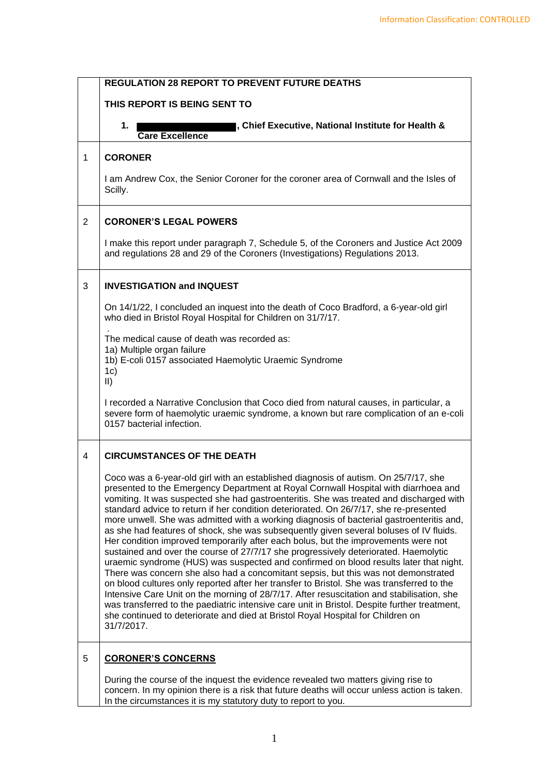|                | <b>REGULATION 28 REPORT TO PREVENT FUTURE DEATHS</b>                                                                                                                                                                                                                                                                                                                                                                                                                                                                                                                                                                                                                                                                                                                                                                                                                                                                                                                                                                                                                                                                                                                                                                                                                                                        |
|----------------|-------------------------------------------------------------------------------------------------------------------------------------------------------------------------------------------------------------------------------------------------------------------------------------------------------------------------------------------------------------------------------------------------------------------------------------------------------------------------------------------------------------------------------------------------------------------------------------------------------------------------------------------------------------------------------------------------------------------------------------------------------------------------------------------------------------------------------------------------------------------------------------------------------------------------------------------------------------------------------------------------------------------------------------------------------------------------------------------------------------------------------------------------------------------------------------------------------------------------------------------------------------------------------------------------------------|
|                | THIS REPORT IS BEING SENT TO                                                                                                                                                                                                                                                                                                                                                                                                                                                                                                                                                                                                                                                                                                                                                                                                                                                                                                                                                                                                                                                                                                                                                                                                                                                                                |
|                | , Chief Executive, National Institute for Health &<br>1.<br><b>Care Excellence</b>                                                                                                                                                                                                                                                                                                                                                                                                                                                                                                                                                                                                                                                                                                                                                                                                                                                                                                                                                                                                                                                                                                                                                                                                                          |
| 1              | <b>CORONER</b>                                                                                                                                                                                                                                                                                                                                                                                                                                                                                                                                                                                                                                                                                                                                                                                                                                                                                                                                                                                                                                                                                                                                                                                                                                                                                              |
|                | I am Andrew Cox, the Senior Coroner for the coroner area of Cornwall and the Isles of<br>Scilly.                                                                                                                                                                                                                                                                                                                                                                                                                                                                                                                                                                                                                                                                                                                                                                                                                                                                                                                                                                                                                                                                                                                                                                                                            |
| $\overline{2}$ | <b>CORONER'S LEGAL POWERS</b>                                                                                                                                                                                                                                                                                                                                                                                                                                                                                                                                                                                                                                                                                                                                                                                                                                                                                                                                                                                                                                                                                                                                                                                                                                                                               |
|                | I make this report under paragraph 7, Schedule 5, of the Coroners and Justice Act 2009<br>and regulations 28 and 29 of the Coroners (Investigations) Regulations 2013.                                                                                                                                                                                                                                                                                                                                                                                                                                                                                                                                                                                                                                                                                                                                                                                                                                                                                                                                                                                                                                                                                                                                      |
| 3              | <b>INVESTIGATION and INQUEST</b>                                                                                                                                                                                                                                                                                                                                                                                                                                                                                                                                                                                                                                                                                                                                                                                                                                                                                                                                                                                                                                                                                                                                                                                                                                                                            |
|                | On 14/1/22, I concluded an inquest into the death of Coco Bradford, a 6-year-old girl<br>who died in Bristol Royal Hospital for Children on 31/7/17.                                                                                                                                                                                                                                                                                                                                                                                                                                                                                                                                                                                                                                                                                                                                                                                                                                                                                                                                                                                                                                                                                                                                                        |
|                | The medical cause of death was recorded as:                                                                                                                                                                                                                                                                                                                                                                                                                                                                                                                                                                                                                                                                                                                                                                                                                                                                                                                                                                                                                                                                                                                                                                                                                                                                 |
|                | 1a) Multiple organ failure<br>1b) E-coli 0157 associated Haemolytic Uraemic Syndrome<br>1c)<br>$\vert \vert$                                                                                                                                                                                                                                                                                                                                                                                                                                                                                                                                                                                                                                                                                                                                                                                                                                                                                                                                                                                                                                                                                                                                                                                                |
|                | I recorded a Narrative Conclusion that Coco died from natural causes, in particular, a<br>severe form of haemolytic uraemic syndrome, a known but rare complication of an e-coli<br>0157 bacterial infection.                                                                                                                                                                                                                                                                                                                                                                                                                                                                                                                                                                                                                                                                                                                                                                                                                                                                                                                                                                                                                                                                                               |
| 4              | <b>CIRCUMSTANCES OF THE DEATH</b>                                                                                                                                                                                                                                                                                                                                                                                                                                                                                                                                                                                                                                                                                                                                                                                                                                                                                                                                                                                                                                                                                                                                                                                                                                                                           |
|                | Coco was a 6-year-old girl with an established diagnosis of autism. On 25/7/17, she<br>presented to the Emergency Department at Royal Cornwall Hospital with diarrhoea and<br>vomiting. It was suspected she had gastroenteritis. She was treated and discharged with<br>standard advice to return if her condition deteriorated. On 26/7/17, she re-presented<br>more unwell. She was admitted with a working diagnosis of bacterial gastroenteritis and,<br>as she had features of shock, she was subsequently given several boluses of IV fluids.<br>Her condition improved temporarily after each bolus, but the improvements were not<br>sustained and over the course of 27/7/17 she progressively deteriorated. Haemolytic<br>uraemic syndrome (HUS) was suspected and confirmed on blood results later that night.<br>There was concern she also had a concomitant sepsis, but this was not demonstrated<br>on blood cultures only reported after her transfer to Bristol. She was transferred to the<br>Intensive Care Unit on the morning of 28/7/17. After resuscitation and stabilisation, she<br>was transferred to the paediatric intensive care unit in Bristol. Despite further treatment,<br>she continued to deteriorate and died at Bristol Royal Hospital for Children on<br>31/7/2017. |
| 5              | <b>CORONER'S CONCERNS</b>                                                                                                                                                                                                                                                                                                                                                                                                                                                                                                                                                                                                                                                                                                                                                                                                                                                                                                                                                                                                                                                                                                                                                                                                                                                                                   |
|                | During the course of the inquest the evidence revealed two matters giving rise to<br>concern. In my opinion there is a risk that future deaths will occur unless action is taken.<br>In the circumstances it is my statutory duty to report to you.                                                                                                                                                                                                                                                                                                                                                                                                                                                                                                                                                                                                                                                                                                                                                                                                                                                                                                                                                                                                                                                         |